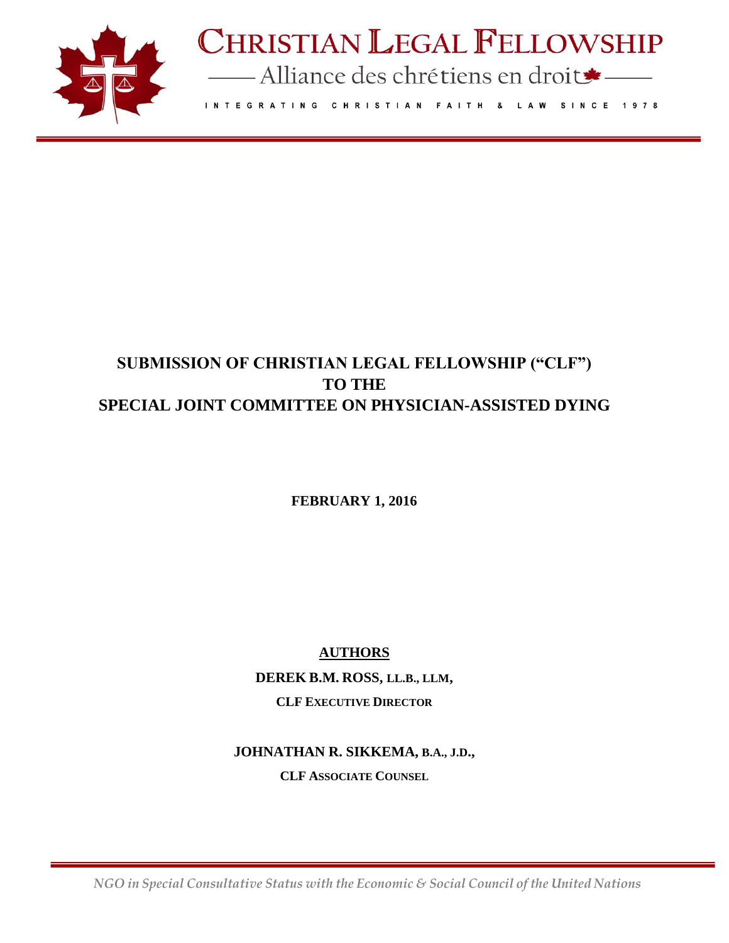

# **CHRISTIAN LEGAL FELLOWSHIP**

Alliance des chrétiens en droit

INTEGRATING CHRISTIAN FAITH & LAW SINCE 1978

# **SUBMISSION OF CHRISTIAN LEGAL FELLOWSHIP ("CLF") TO THE SPECIAL JOINT COMMITTEE ON PHYSICIAN-ASSISTED DYING**

**FEBRUARY 1, 2016**

**AUTHORS**

**DEREK B.M. ROSS, LL.B., LLM,** 

**CLF EXECUTIVE DIRECTOR**

**JOHNATHAN R. SIKKEMA, B.A., J.D.,** 

**CLF ASSOCIATE COUNSEL**

*NGO in Special Consultative Status with the Economic & Social Council of the United Nations*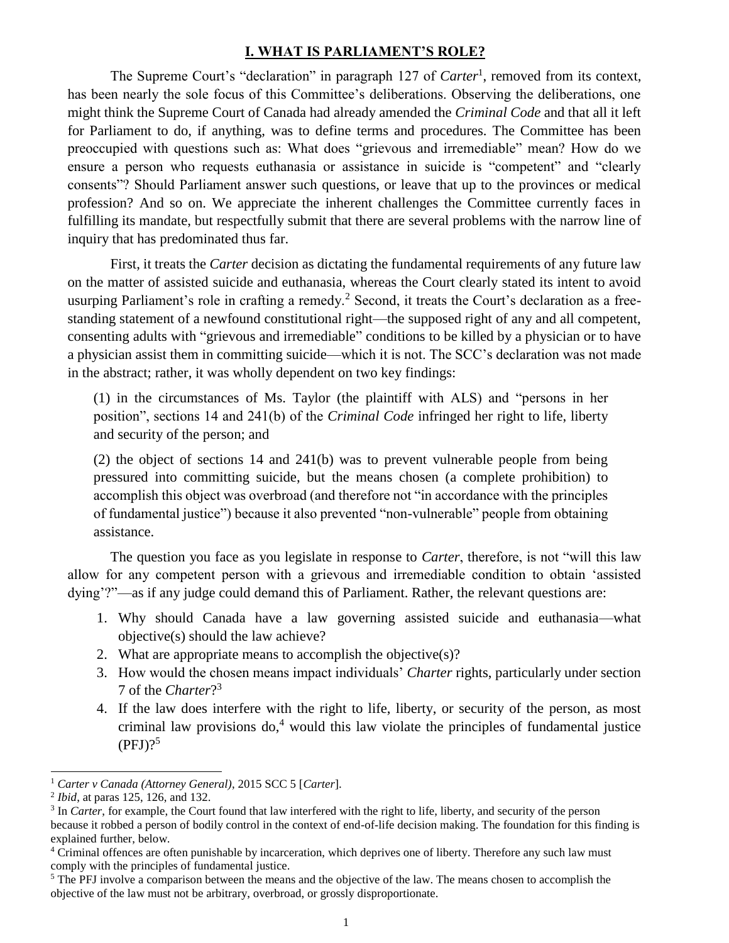# **I. WHAT IS PARLIAMENT'S ROLE?**

The Supreme Court's "declaration" in paragraph 127 of *Carter*<sup>1</sup>, removed from its context, has been nearly the sole focus of this Committee's deliberations. Observing the deliberations, one might think the Supreme Court of Canada had already amended the *Criminal Code* and that all it left for Parliament to do, if anything, was to define terms and procedures. The Committee has been preoccupied with questions such as: What does "grievous and irremediable" mean? How do we ensure a person who requests euthanasia or assistance in suicide is "competent" and "clearly consents"? Should Parliament answer such questions, or leave that up to the provinces or medical profession? And so on. We appreciate the inherent challenges the Committee currently faces in fulfilling its mandate, but respectfully submit that there are several problems with the narrow line of inquiry that has predominated thus far.

First, it treats the *Carter* decision as dictating the fundamental requirements of any future law on the matter of assisted suicide and euthanasia, whereas the Court clearly stated its intent to avoid usurping Parliament's role in crafting a remedy.<sup>2</sup> Second, it treats the Court's declaration as a freestanding statement of a newfound constitutional right—the supposed right of any and all competent, consenting adults with "grievous and irremediable" conditions to be killed by a physician or to have a physician assist them in committing suicide—which it is not. The SCC's declaration was not made in the abstract; rather, it was wholly dependent on two key findings:

(1) in the circumstances of Ms. Taylor (the plaintiff with ALS) and "persons in her position", sections 14 and 241(b) of the *Criminal Code* infringed her right to life, liberty and security of the person; and

(2) the object of sections 14 and 241(b) was to prevent vulnerable people from being pressured into committing suicide, but the means chosen (a complete prohibition) to accomplish this object was overbroad (and therefore not "in accordance with the principles of fundamental justice") because it also prevented "non-vulnerable" people from obtaining assistance.

The question you face as you legislate in response to *Carter*, therefore, is not "will this law allow for any competent person with a grievous and irremediable condition to obtain 'assisted dying'?"—as if any judge could demand this of Parliament. Rather, the relevant questions are:

- 1. Why should Canada have a law governing assisted suicide and euthanasia—what objective(s) should the law achieve?
- 2. What are appropriate means to accomplish the objective(s)?
- 3. How would the chosen means impact individuals' *Charter* rights, particularly under section 7 of the *Charter*? 3
- 4. If the law does interfere with the right to life, liberty, or security of the person, as most criminal law provisions  $do<sup>4</sup>$  would this law violate the principles of fundamental justice  $(PFI)?<sup>5</sup>$

<sup>1</sup> *Carter v Canada (Attorney General)*, 2015 SCC 5 [*Carter*].

<sup>2</sup> *Ibid*, at paras 125, 126, and 132.

<sup>&</sup>lt;sup>3</sup> In *Carter*, for example, the Court found that law interfered with the right to life, liberty, and security of the person because it robbed a person of bodily control in the context of end-of-life decision making. The foundation for this finding is explained further, below.

<sup>4</sup> Criminal offences are often punishable by incarceration, which deprives one of liberty. Therefore any such law must comply with the principles of fundamental justice.

<sup>&</sup>lt;sup>5</sup> The PFJ involve a comparison between the means and the objective of the law. The means chosen to accomplish the objective of the law must not be arbitrary, overbroad, or grossly disproportionate.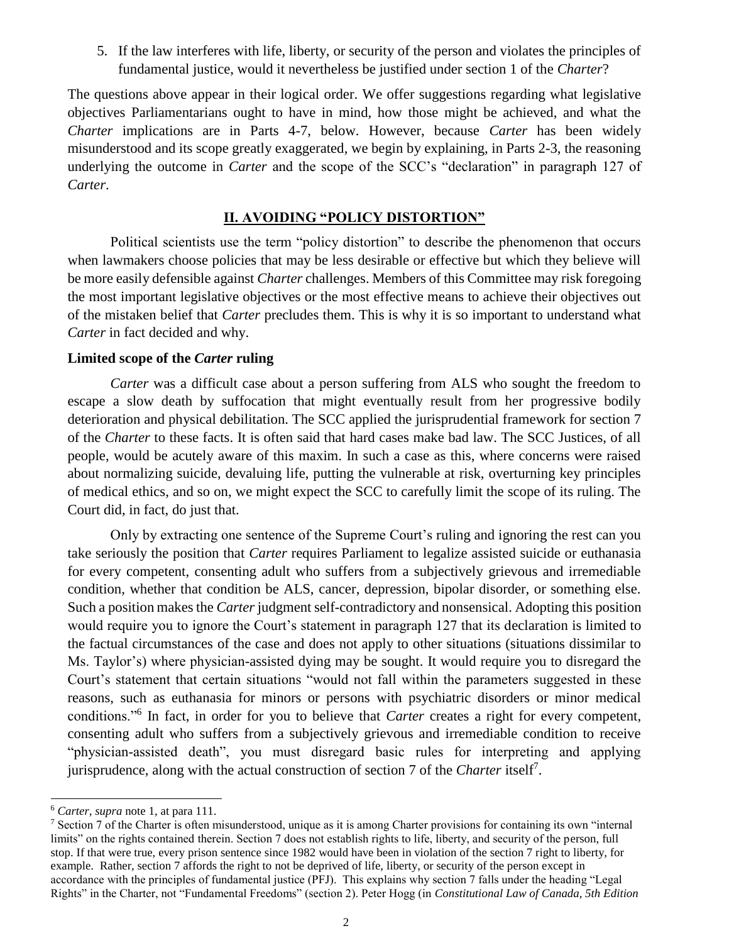5. If the law interferes with life, liberty, or security of the person and violates the principles of fundamental justice, would it nevertheless be justified under section 1 of the *Charter*?

The questions above appear in their logical order. We offer suggestions regarding what legislative objectives Parliamentarians ought to have in mind, how those might be achieved, and what the *Charter* implications are in Parts 4-7, below. However, because *Carter* has been widely misunderstood and its scope greatly exaggerated, we begin by explaining, in Parts 2-3, the reasoning underlying the outcome in *Carter* and the scope of the SCC's "declaration" in paragraph 127 of *Carter*.

#### **II. AVOIDING "POLICY DISTORTION"**

Political scientists use the term "policy distortion" to describe the phenomenon that occurs when lawmakers choose policies that may be less desirable or effective but which they believe will be more easily defensible against *Charter* challenges. Members of this Committee may risk foregoing the most important legislative objectives or the most effective means to achieve their objectives out of the mistaken belief that *Carter* precludes them. This is why it is so important to understand what *Carter* in fact decided and why.

#### **Limited scope of the** *Carter* **ruling**

*Carter* was a difficult case about a person suffering from ALS who sought the freedom to escape a slow death by suffocation that might eventually result from her progressive bodily deterioration and physical debilitation. The SCC applied the jurisprudential framework for section 7 of the *Charter* to these facts. It is often said that hard cases make bad law. The SCC Justices, of all people, would be acutely aware of this maxim. In such a case as this, where concerns were raised about normalizing suicide, devaluing life, putting the vulnerable at risk, overturning key principles of medical ethics, and so on, we might expect the SCC to carefully limit the scope of its ruling. The Court did, in fact, do just that.

Only by extracting one sentence of the Supreme Court's ruling and ignoring the rest can you take seriously the position that *Carter* requires Parliament to legalize assisted suicide or euthanasia for every competent, consenting adult who suffers from a subjectively grievous and irremediable condition, whether that condition be ALS, cancer, depression, bipolar disorder, or something else. Such a position makes the *Carter* judgment self-contradictory and nonsensical. Adopting this position would require you to ignore the Court's statement in paragraph 127 that its declaration is limited to the factual circumstances of the case and does not apply to other situations (situations dissimilar to Ms. Taylor's) where physician-assisted dying may be sought. It would require you to disregard the Court's statement that certain situations "would not fall within the parameters suggested in these reasons, such as euthanasia for minors or persons with psychiatric disorders or minor medical conditions."<sup>6</sup> In fact, in order for you to believe that *Carter* creates a right for every competent, consenting adult who suffers from a subjectively grievous and irremediable condition to receive "physician-assisted death", you must disregard basic rules for interpreting and applying jurisprudence, along with the actual construction of section 7 of the *Charter* itself<sup>7</sup>.

<sup>6</sup> *Carter*, *supra* note 1, at para 111.

<sup>&</sup>lt;sup>7</sup> Section 7 of the Charter is often misunderstood, unique as it is among Charter provisions for containing its own "internal limits" on the rights contained therein. Section 7 does not establish rights to life, liberty, and security of the person, full stop. If that were true, every prison sentence since 1982 would have been in violation of the section 7 right to liberty, for example. Rather, section 7 affords the right to not be deprived of life, liberty, or security of the person except in accordance with the principles of fundamental justice (PFJ). This explains why section 7 falls under the heading "Legal Rights" in the Charter, not "Fundamental Freedoms" (section 2). Peter Hogg (in *Constitutional Law of Canada, 5th Edition*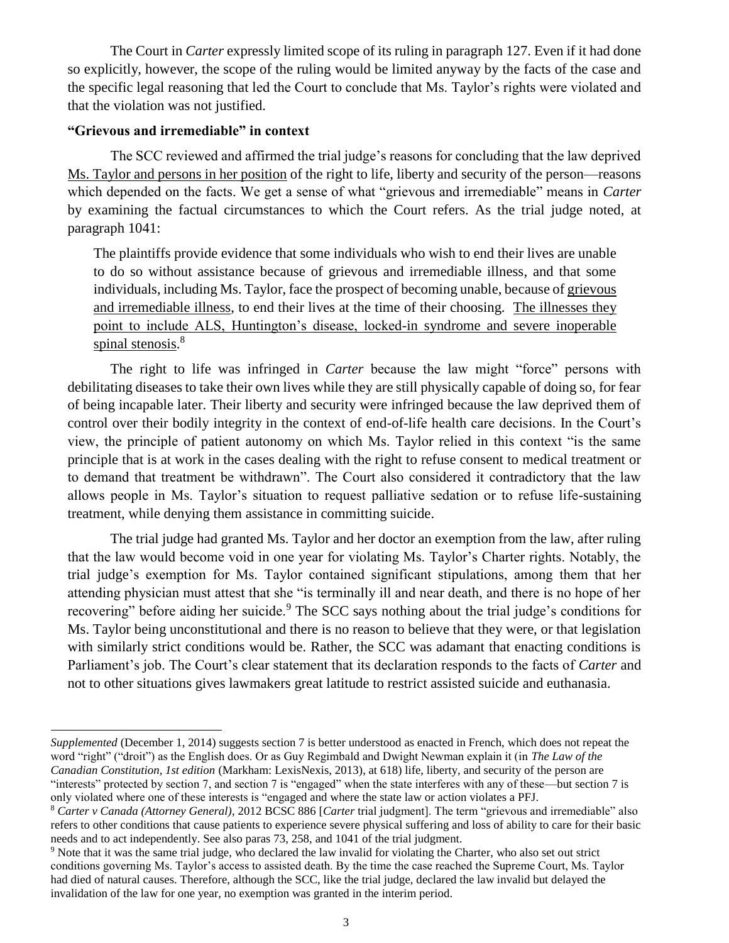The Court in *Carter* expressly limited scope of its ruling in paragraph 127. Even if it had done so explicitly, however, the scope of the ruling would be limited anyway by the facts of the case and the specific legal reasoning that led the Court to conclude that Ms. Taylor's rights were violated and that the violation was not justified.

# **"Grievous and irremediable" in context**

l

The SCC reviewed and affirmed the trial judge's reasons for concluding that the law deprived Ms. Taylor and persons in her position of the right to life, liberty and security of the person—reasons which depended on the facts. We get a sense of what "grievous and irremediable" means in *Carter*  by examining the factual circumstances to which the Court refers. As the trial judge noted, at paragraph 1041:

The plaintiffs provide evidence that some individuals who wish to end their lives are unable to do so without assistance because of grievous and irremediable illness, and that some individuals, including Ms. Taylor, face the prospect of becoming unable, because of grievous and irremediable illness, to end their lives at the time of their choosing. The illnesses they point to include ALS, Huntington's disease, locked-in syndrome and severe inoperable spinal stenosis.<sup>8</sup>

The right to life was infringed in *Carter* because the law might "force" persons with debilitating diseases to take their own lives while they are still physically capable of doing so, for fear of being incapable later. Their liberty and security were infringed because the law deprived them of control over their bodily integrity in the context of end-of-life health care decisions. In the Court's view, the principle of patient autonomy on which Ms. Taylor relied in this context "is the same principle that is at work in the cases dealing with the right to refuse consent to medical treatment or to demand that treatment be withdrawn". The Court also considered it contradictory that the law allows people in Ms. Taylor's situation to request palliative sedation or to refuse life-sustaining treatment, while denying them assistance in committing suicide.

The trial judge had granted Ms. Taylor and her doctor an exemption from the law, after ruling that the law would become void in one year for violating Ms. Taylor's Charter rights. Notably, the trial judge's exemption for Ms. Taylor contained significant stipulations, among them that her attending physician must attest that she "is terminally ill and near death, and there is no hope of her recovering" before aiding her suicide.<sup>9</sup> The SCC says nothing about the trial judge's conditions for Ms. Taylor being unconstitutional and there is no reason to believe that they were, or that legislation with similarly strict conditions would be. Rather, the SCC was adamant that enacting conditions is Parliament's job. The Court's clear statement that its declaration responds to the facts of *Carter* and not to other situations gives lawmakers great latitude to restrict assisted suicide and euthanasia.

*Supplemented* (December 1, 2014) suggests section 7 is better understood as enacted in French, which does not repeat the word "right" ("droit") as the English does. Or as Guy Regimbald and Dwight Newman explain it (in *The Law of the Canadian Constitution, 1st edition* (Markham: LexisNexis, 2013), at 618) life, liberty, and security of the person are "interests" protected by section 7, and section 7 is "engaged" when the state interferes with any of these—but section 7 is only violated where one of these interests is "engaged and where the state law or action violates a PFJ.

<sup>8</sup> *Carter v Canada (Attorney General)*, 2012 BCSC 886 [*Carter* trial judgment]. The term "grievous and irremediable" also refers to other conditions that cause patients to experience severe physical suffering and loss of ability to care for their basic needs and to act independently. See also paras 73, 258, and 1041 of the trial judgment.

<sup>9</sup> Note that it was the same trial judge, who declared the law invalid for violating the Charter, who also set out strict conditions governing Ms. Taylor's access to assisted death. By the time the case reached the Supreme Court, Ms. Taylor had died of natural causes. Therefore, although the SCC, like the trial judge, declared the law invalid but delayed the invalidation of the law for one year, no exemption was granted in the interim period.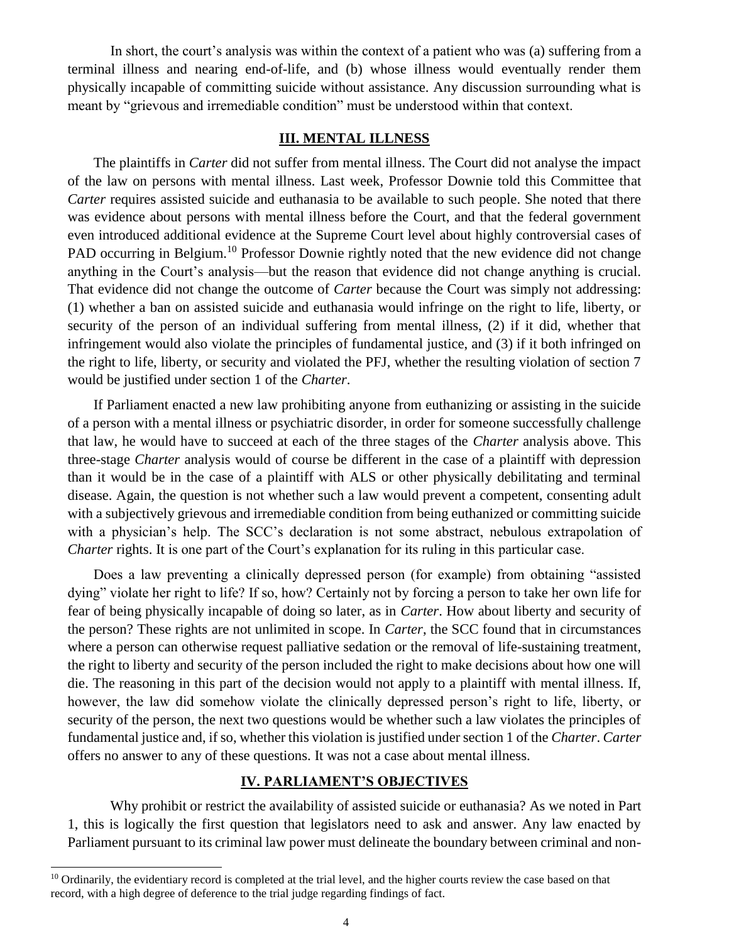In short, the court's analysis was within the context of a patient who was (a) suffering from a terminal illness and nearing end-of-life, and (b) whose illness would eventually render them physically incapable of committing suicide without assistance. Any discussion surrounding what is meant by "grievous and irremediable condition" must be understood within that context.

# **III. MENTAL ILLNESS**

The plaintiffs in *Carter* did not suffer from mental illness. The Court did not analyse the impact of the law on persons with mental illness. Last week, Professor Downie told this Committee that *Carter* requires assisted suicide and euthanasia to be available to such people. She noted that there was evidence about persons with mental illness before the Court, and that the federal government even introduced additional evidence at the Supreme Court level about highly controversial cases of PAD occurring in Belgium.<sup>10</sup> Professor Downie rightly noted that the new evidence did not change anything in the Court's analysis—but the reason that evidence did not change anything is crucial. That evidence did not change the outcome of *Carter* because the Court was simply not addressing: (1) whether a ban on assisted suicide and euthanasia would infringe on the right to life, liberty, or security of the person of an individual suffering from mental illness, (2) if it did, whether that infringement would also violate the principles of fundamental justice, and (3) if it both infringed on the right to life, liberty, or security and violated the PFJ, whether the resulting violation of section 7 would be justified under section 1 of the *Charter*.

If Parliament enacted a new law prohibiting anyone from euthanizing or assisting in the suicide of a person with a mental illness or psychiatric disorder, in order for someone successfully challenge that law, he would have to succeed at each of the three stages of the *Charter* analysis above. This three-stage *Charter* analysis would of course be different in the case of a plaintiff with depression than it would be in the case of a plaintiff with ALS or other physically debilitating and terminal disease. Again, the question is not whether such a law would prevent a competent, consenting adult with a subjectively grievous and irremediable condition from being euthanized or committing suicide with a physician's help. The SCC's declaration is not some abstract, nebulous extrapolation of *Charter rights.* It is one part of the Court's explanation for its ruling in this particular case.

Does a law preventing a clinically depressed person (for example) from obtaining "assisted dying" violate her right to life? If so, how? Certainly not by forcing a person to take her own life for fear of being physically incapable of doing so later, as in *Carter*. How about liberty and security of the person? These rights are not unlimited in scope. In *Carter*, the SCC found that in circumstances where a person can otherwise request palliative sedation or the removal of life-sustaining treatment, the right to liberty and security of the person included the right to make decisions about how one will die. The reasoning in this part of the decision would not apply to a plaintiff with mental illness. If, however, the law did somehow violate the clinically depressed person's right to life, liberty, or security of the person, the next two questions would be whether such a law violates the principles of fundamental justice and, if so, whether this violation is justified under section 1 of the *Charter*. *Carter*  offers no answer to any of these questions. It was not a case about mental illness.

# **IV. PARLIAMENT'S OBJECTIVES**

Why prohibit or restrict the availability of assisted suicide or euthanasia? As we noted in Part 1, this is logically the first question that legislators need to ask and answer. Any law enacted by Parliament pursuant to its criminal law power must delineate the boundary between criminal and non-

 $10$  Ordinarily, the evidentiary record is completed at the trial level, and the higher courts review the case based on that record, with a high degree of deference to the trial judge regarding findings of fact.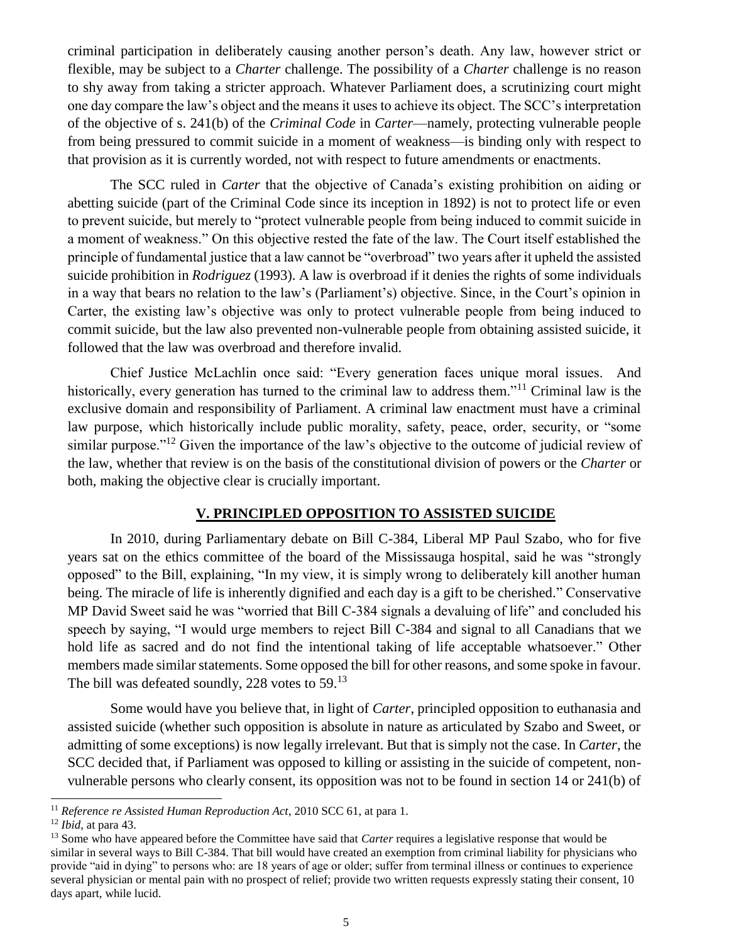criminal participation in deliberately causing another person's death. Any law, however strict or flexible, may be subject to a *Charter* challenge. The possibility of a *Charter* challenge is no reason to shy away from taking a stricter approach. Whatever Parliament does, a scrutinizing court might one day compare the law's object and the means it uses to achieve its object. The SCC's interpretation of the objective of s. 241(b) of the *Criminal Code* in *Carter*—namely, protecting vulnerable people from being pressured to commit suicide in a moment of weakness—is binding only with respect to that provision as it is currently worded, not with respect to future amendments or enactments.

The SCC ruled in *Carter* that the objective of Canada's existing prohibition on aiding or abetting suicide (part of the Criminal Code since its inception in 1892) is not to protect life or even to prevent suicide, but merely to "protect vulnerable people from being induced to commit suicide in a moment of weakness." On this objective rested the fate of the law. The Court itself established the principle of fundamental justice that a law cannot be "overbroad" two years after it upheld the assisted suicide prohibition in *Rodriguez* (1993). A law is overbroad if it denies the rights of some individuals in a way that bears no relation to the law's (Parliament's) objective. Since, in the Court's opinion in Carter, the existing law's objective was only to protect vulnerable people from being induced to commit suicide, but the law also prevented non-vulnerable people from obtaining assisted suicide, it followed that the law was overbroad and therefore invalid.

Chief Justice McLachlin once said: "Every generation faces unique moral issues. And historically, every generation has turned to the criminal law to address them."<sup>11</sup> Criminal law is the exclusive domain and responsibility of Parliament. A criminal law enactment must have a criminal law purpose, which historically include public morality, safety, peace, order, security, or "some similar purpose."<sup>12</sup> Given the importance of the law's objective to the outcome of judicial review of the law, whether that review is on the basis of the constitutional division of powers or the *Charter* or both, making the objective clear is crucially important.

# **V. PRINCIPLED OPPOSITION TO ASSISTED SUICIDE**

In 2010, during Parliamentary debate on Bill C-384, Liberal MP Paul Szabo, who for five years sat on the ethics committee of the board of the Mississauga hospital, said he was "strongly opposed" to the Bill, explaining, "In my view, it is simply wrong to deliberately kill another human being. The miracle of life is inherently dignified and each day is a gift to be cherished." Conservative MP David Sweet said he was "worried that Bill C-384 signals a devaluing of life" and concluded his speech by saying, "I would urge members to reject Bill C-384 and signal to all Canadians that we hold life as sacred and do not find the intentional taking of life acceptable whatsoever." Other members made similar statements. Some opposed the bill for other reasons, and some spoke in favour. The bill was defeated soundly, 228 votes to 59.<sup>13</sup>

Some would have you believe that, in light of *Carter*, principled opposition to euthanasia and assisted suicide (whether such opposition is absolute in nature as articulated by Szabo and Sweet, or admitting of some exceptions) is now legally irrelevant. But that is simply not the case. In *Carter*, the SCC decided that, if Parliament was opposed to killing or assisting in the suicide of competent, nonvulnerable persons who clearly consent, its opposition was not to be found in section 14 or 241(b) of

<sup>&</sup>lt;sup>11</sup> *Reference re Assisted Human Reproduction Act*, 2010 SCC 61, at para 1.

<sup>12</sup> *Ibid*, at para 43.

<sup>&</sup>lt;sup>13</sup> Some who have appeared before the Committee have said that *Carter* requires a legislative response that would be similar in several ways to Bill C-384. That bill would have created an exemption from criminal liability for physicians who provide "aid in dying" to persons who: are 18 years of age or older; suffer from terminal illness or continues to experience several physician or mental pain with no prospect of relief; provide two written requests expressly stating their consent, 10 days apart, while lucid.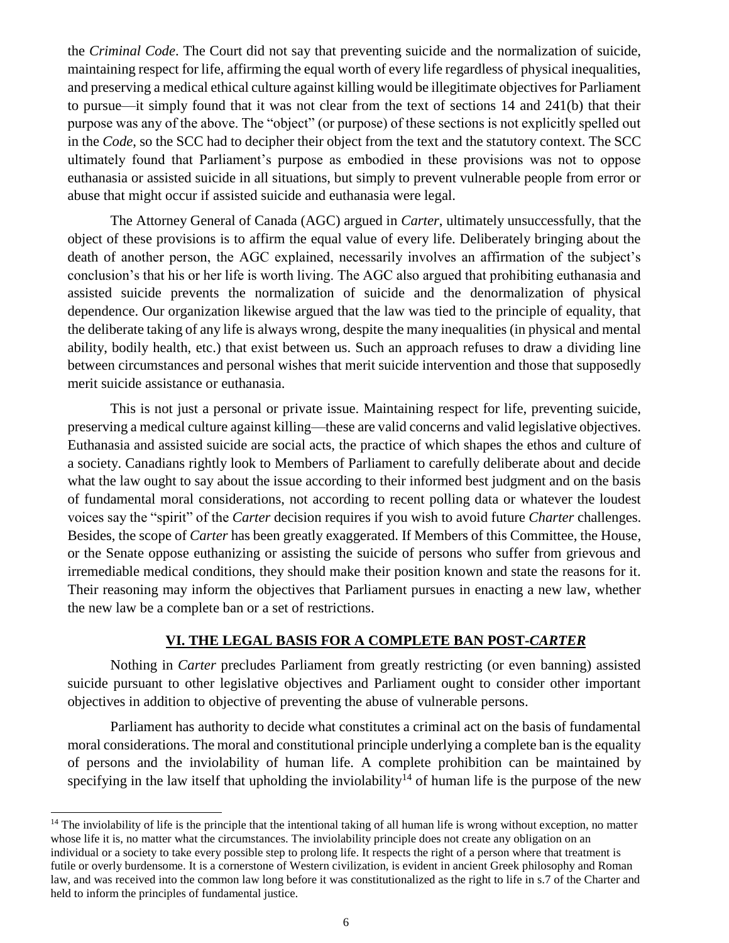the *Criminal Code*. The Court did not say that preventing suicide and the normalization of suicide, maintaining respect for life, affirming the equal worth of every life regardless of physical inequalities, and preserving a medical ethical culture against killing would be illegitimate objectives for Parliament to pursue—it simply found that it was not clear from the text of sections 14 and 241(b) that their purpose was any of the above. The "object" (or purpose) of these sections is not explicitly spelled out in the *Code*, so the SCC had to decipher their object from the text and the statutory context. The SCC ultimately found that Parliament's purpose as embodied in these provisions was not to oppose euthanasia or assisted suicide in all situations, but simply to prevent vulnerable people from error or abuse that might occur if assisted suicide and euthanasia were legal.

The Attorney General of Canada (AGC) argued in *Carter*, ultimately unsuccessfully, that the object of these provisions is to affirm the equal value of every life. Deliberately bringing about the death of another person, the AGC explained, necessarily involves an affirmation of the subject's conclusion's that his or her life is worth living. The AGC also argued that prohibiting euthanasia and assisted suicide prevents the normalization of suicide and the denormalization of physical dependence. Our organization likewise argued that the law was tied to the principle of equality, that the deliberate taking of any life is always wrong, despite the many inequalities (in physical and mental ability, bodily health, etc.) that exist between us. Such an approach refuses to draw a dividing line between circumstances and personal wishes that merit suicide intervention and those that supposedly merit suicide assistance or euthanasia.

This is not just a personal or private issue. Maintaining respect for life, preventing suicide, preserving a medical culture against killing—these are valid concerns and valid legislative objectives. Euthanasia and assisted suicide are social acts, the practice of which shapes the ethos and culture of a society. Canadians rightly look to Members of Parliament to carefully deliberate about and decide what the law ought to say about the issue according to their informed best judgment and on the basis of fundamental moral considerations, not according to recent polling data or whatever the loudest voices say the "spirit" of the *Carter* decision requires if you wish to avoid future *Charter* challenges. Besides, the scope of *Carter* has been greatly exaggerated. If Members of this Committee, the House, or the Senate oppose euthanizing or assisting the suicide of persons who suffer from grievous and irremediable medical conditions, they should make their position known and state the reasons for it. Their reasoning may inform the objectives that Parliament pursues in enacting a new law, whether the new law be a complete ban or a set of restrictions.

# **VI. THE LEGAL BASIS FOR A COMPLETE BAN POST-***CARTER*

Nothing in *Carter* precludes Parliament from greatly restricting (or even banning) assisted suicide pursuant to other legislative objectives and Parliament ought to consider other important objectives in addition to objective of preventing the abuse of vulnerable persons.

Parliament has authority to decide what constitutes a criminal act on the basis of fundamental moral considerations. The moral and constitutional principle underlying a complete ban is the equality of persons and the inviolability of human life. A complete prohibition can be maintained by specifying in the law itself that upholding the inviolability<sup>14</sup> of human life is the purpose of the new

<sup>&</sup>lt;sup>14</sup> The inviolability of life is the principle that the intentional taking of all human life is wrong without exception, no matter whose life it is, no matter what the circumstances. The inviolability principle does not create any obligation on an individual or a society to take every possible step to prolong life. It respects the right of a person where that treatment is futile or overly burdensome. It is a cornerstone of Western civilization, is evident in ancient Greek philosophy and Roman law, and was received into the common law long before it was constitutionalized as the right to life in s.7 of the Charter and held to inform the principles of fundamental justice.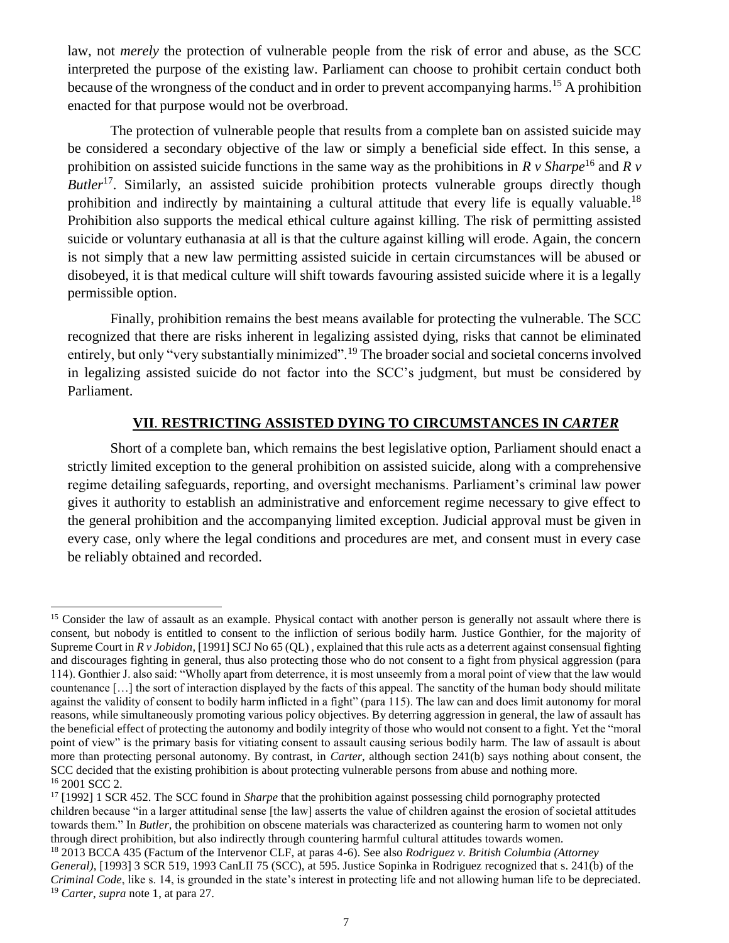law, not *merely* the protection of vulnerable people from the risk of error and abuse, as the SCC interpreted the purpose of the existing law. Parliament can choose to prohibit certain conduct both because of the wrongness of the conduct and in order to prevent accompanying harms.<sup>15</sup> A prohibition enacted for that purpose would not be overbroad.

The protection of vulnerable people that results from a complete ban on assisted suicide may be considered a secondary objective of the law or simply a beneficial side effect. In this sense, a prohibition on assisted suicide functions in the same way as the prohibitions in  $R v Sharpe^{16}$  and  $R v$ *Butler*<sup>17</sup>. Similarly, an assisted suicide prohibition protects vulnerable groups directly though prohibition and indirectly by maintaining a cultural attitude that every life is equally valuable.<sup>18</sup> Prohibition also supports the medical ethical culture against killing. The risk of permitting assisted suicide or voluntary euthanasia at all is that the culture against killing will erode. Again, the concern is not simply that a new law permitting assisted suicide in certain circumstances will be abused or disobeyed, it is that medical culture will shift towards favouring assisted suicide where it is a legally permissible option.

Finally, prohibition remains the best means available for protecting the vulnerable. The SCC recognized that there are risks inherent in legalizing assisted dying, risks that cannot be eliminated entirely, but only "very substantially minimized".<sup>19</sup> The broader social and societal concerns involved in legalizing assisted suicide do not factor into the SCC's judgment, but must be considered by Parliament.

# **VII**. **RESTRICTING ASSISTED DYING TO CIRCUMSTANCES IN** *CARTER*

Short of a complete ban, which remains the best legislative option, Parliament should enact a strictly limited exception to the general prohibition on assisted suicide, along with a comprehensive regime detailing safeguards, reporting, and oversight mechanisms. Parliament's criminal law power gives it authority to establish an administrative and enforcement regime necessary to give effect to the general prohibition and the accompanying limited exception. Judicial approval must be given in every case, only where the legal conditions and procedures are met, and consent must in every case be reliably obtained and recorded.

<sup>&</sup>lt;sup>15</sup> Consider the law of assault as an example. Physical contact with another person is generally not assault where there is consent, but nobody is entitled to consent to the infliction of serious bodily harm. Justice Gonthier, for the majority of Supreme Court in *R v Jobidon*, [1991] SCJ No 65 (QL), explained that this rule acts as a deterrent against consensual fighting and discourages fighting in general, thus also protecting those who do not consent to a fight from physical aggression (para 114). Gonthier J. also said: "Wholly apart from deterrence, it is most unseemly from a moral point of view that the law would countenance […] the sort of interaction displayed by the facts of this appeal. The sanctity of the human body should militate against the validity of consent to bodily harm inflicted in a fight" (para 115). The law can and does limit autonomy for moral reasons, while simultaneously promoting various policy objectives. By deterring aggression in general, the law of assault has the beneficial effect of protecting the autonomy and bodily integrity of those who would not consent to a fight. Yet the "moral point of view" is the primary basis for vitiating consent to assault causing serious bodily harm. The law of assault is about more than protecting personal autonomy. By contrast, in *Carter*, although section 241(b) says nothing about consent, the SCC decided that the existing prohibition is about protecting vulnerable persons from abuse and nothing more. <sup>16</sup> 2001 SCC 2.

<sup>17</sup> [1992] 1 SCR 452. The SCC found in *Sharpe* that the prohibition against possessing child pornography protected children because "in a larger attitudinal sense [the law] asserts the value of children against the erosion of societal attitudes towards them." In *Butler*, the prohibition on obscene materials was characterized as countering harm to women not only through direct prohibition, but also indirectly through countering harmful cultural attitudes towards women.

<sup>18</sup> 2013 BCCA 435 (Factum of the Intervenor CLF, at paras 4-6). See also *Rodriguez v. British Columbia (Attorney General)*, [1993] 3 SCR 519, 1993 CanLII 75 (SCC), at 595. Justice Sopinka in Rodriguez recognized that s. 241(b) of the *Criminal Code*, like s. 14, is grounded in the state's interest in protecting life and not allowing human life to be depreciated. <sup>19</sup> *Carter*, *supra* note 1, at para 27.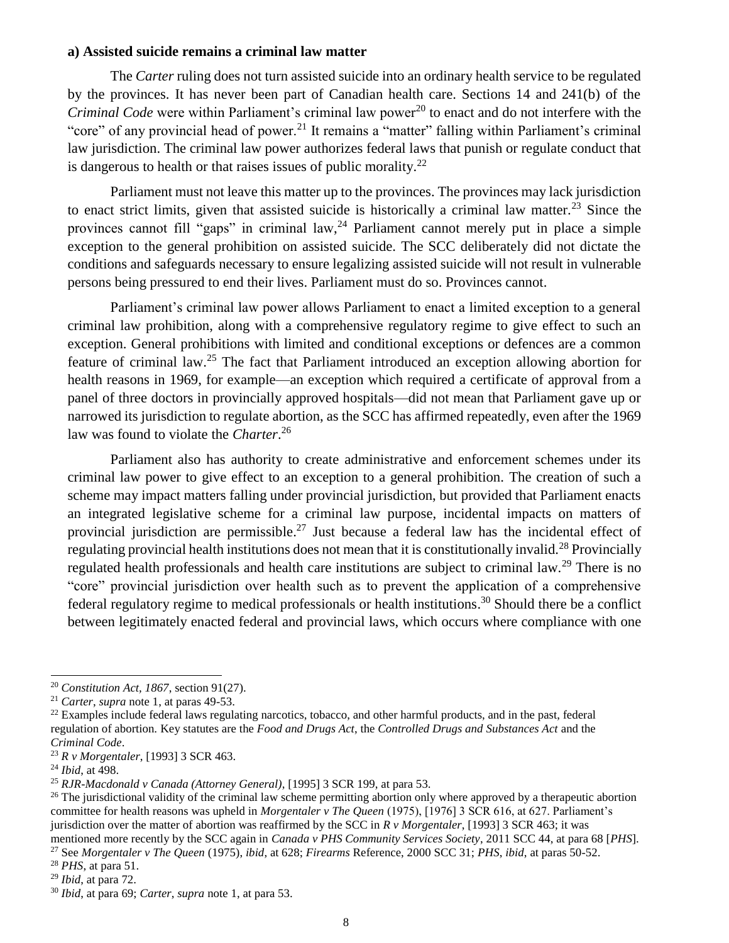#### **a) Assisted suicide remains a criminal law matter**

The *Carter* ruling does not turn assisted suicide into an ordinary health service to be regulated by the provinces. It has never been part of Canadian health care. Sections 14 and 241(b) of the *Criminal Code* were within Parliament's criminal law power<sup>20</sup> to enact and do not interfere with the "core" of any provincial head of power.<sup>21</sup> It remains a "matter" falling within Parliament's criminal law jurisdiction. The criminal law power authorizes federal laws that punish or regulate conduct that is dangerous to health or that raises issues of public morality.<sup>22</sup>

Parliament must not leave this matter up to the provinces. The provinces may lack jurisdiction to enact strict limits, given that assisted suicide is historically a criminal law matter.<sup>23</sup> Since the provinces cannot fill "gaps" in criminal law,<sup>24</sup> Parliament cannot merely put in place a simple exception to the general prohibition on assisted suicide. The SCC deliberately did not dictate the conditions and safeguards necessary to ensure legalizing assisted suicide will not result in vulnerable persons being pressured to end their lives. Parliament must do so. Provinces cannot.

Parliament's criminal law power allows Parliament to enact a limited exception to a general criminal law prohibition, along with a comprehensive regulatory regime to give effect to such an exception. General prohibitions with limited and conditional exceptions or defences are a common feature of criminal law.<sup>25</sup> The fact that Parliament introduced an exception allowing abortion for health reasons in 1969, for example—an exception which required a certificate of approval from a panel of three doctors in provincially approved hospitals—did not mean that Parliament gave up or narrowed its jurisdiction to regulate abortion, as the SCC has affirmed repeatedly, even after the 1969 law was found to violate the *Charter*. 26

Parliament also has authority to create administrative and enforcement schemes under its criminal law power to give effect to an exception to a general prohibition. The creation of such a scheme may impact matters falling under provincial jurisdiction, but provided that Parliament enacts an integrated legislative scheme for a criminal law purpose, incidental impacts on matters of provincial jurisdiction are permissible.<sup>27</sup> Just because a federal law has the incidental effect of regulating provincial health institutions does not mean that it is constitutionally invalid.<sup>28</sup> Provincially regulated health professionals and health care institutions are subject to criminal law.<sup>29</sup> There is no "core" provincial jurisdiction over health such as to prevent the application of a comprehensive federal regulatory regime to medical professionals or health institutions. <sup>30</sup> Should there be a conflict between legitimately enacted federal and provincial laws, which occurs where compliance with one

<sup>20</sup> *Constitution Act, 1867*, section 91(27).

<sup>21</sup> *Carter*, *supra* note 1, at paras 49-53.

 $^{22}$  Examples include federal laws regulating narcotics, tobacco, and other harmful products, and in the past, federal regulation of abortion. Key statutes are the *Food and Drugs Act*, the *Controlled Drugs and Substances Act* and the *Criminal Code*.

<sup>23</sup> *R v Morgentaler*, [1993] 3 SCR 463.

<sup>24</sup> *Ibid*, at 498.

<sup>25</sup> *RJR-Macdonald v Canada (Attorney General)*, [1995] 3 SCR 199, at para 53.

 $26$  The jurisdictional validity of the criminal law scheme permitting abortion only where approved by a therapeutic abortion committee for health reasons was upheld in *Morgentaler v The Queen* (1975), [1976] 3 SCR 616, at 627. Parliament's jurisdiction over the matter of abortion was reaffirmed by the SCC in *R v Morgentaler*, [1993] 3 SCR 463; it was mentioned more recently by the SCC again in *Canada v PHS Community Services Society*, 2011 SCC 44, at para 68 [*PHS*].

<sup>27</sup> See *Morgentaler v The Queen* (1975), *ibid*, at 628; *Firearms* Reference, 2000 SCC 31; *PHS*, *ibid*, at paras 50-52.

<sup>28</sup> *PHS*, at para 51.

<sup>29</sup> *Ibid*, at para 72.

<sup>30</sup> *Ibid*, at para 69; *Carter*, *supra* note 1, at para 53.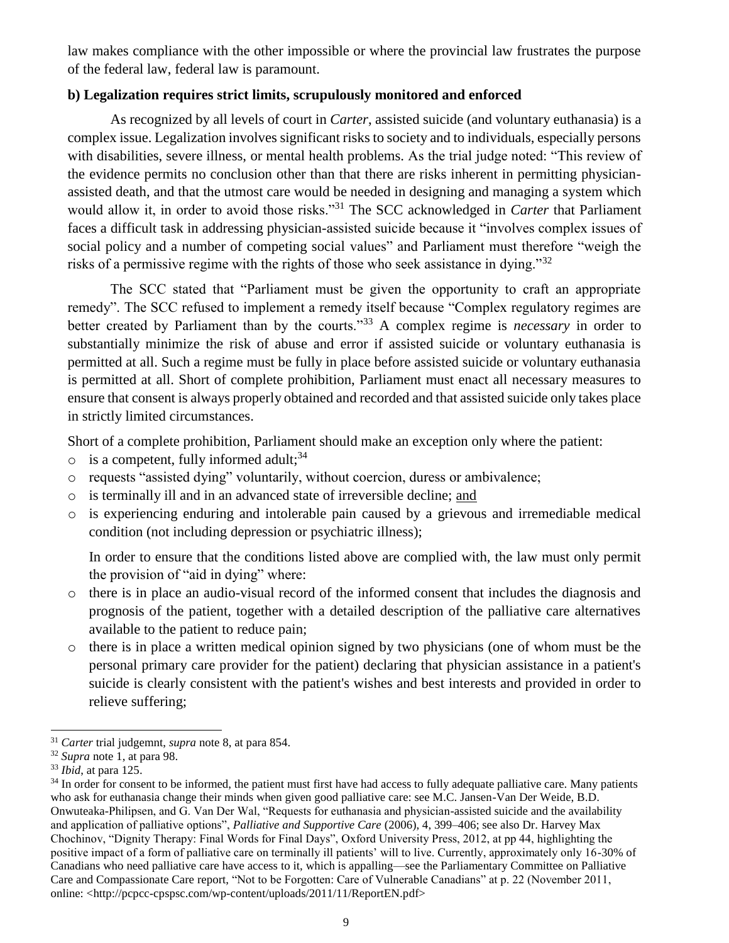law makes compliance with the other impossible or where the provincial law frustrates the purpose of the federal law, federal law is paramount.

# **b) Legalization requires strict limits, scrupulously monitored and enforced**

As recognized by all levels of court in *Carter*, assisted suicide (and voluntary euthanasia) is a complex issue. Legalization involves significant risks to society and to individuals, especially persons with disabilities, severe illness, or mental health problems. As the trial judge noted: "This review of the evidence permits no conclusion other than that there are risks inherent in permitting physicianassisted death, and that the utmost care would be needed in designing and managing a system which would allow it, in order to avoid those risks."<sup>31</sup> The SCC acknowledged in *Carter* that Parliament faces a difficult task in addressing physician-assisted suicide because it "involves complex issues of social policy and a number of competing social values" and Parliament must therefore "weigh the risks of a permissive regime with the rights of those who seek assistance in dying."<sup>32</sup>

The SCC stated that "Parliament must be given the opportunity to craft an appropriate remedy". The SCC refused to implement a remedy itself because "Complex regulatory regimes are better created by Parliament than by the courts."<sup>33</sup> A complex regime is *necessary* in order to substantially minimize the risk of abuse and error if assisted suicide or voluntary euthanasia is permitted at all. Such a regime must be fully in place before assisted suicide or voluntary euthanasia is permitted at all. Short of complete prohibition, Parliament must enact all necessary measures to ensure that consent is always properly obtained and recorded and that assisted suicide only takes place in strictly limited circumstances.

Short of a complete prohibition, Parliament should make an exception only where the patient:

- $\circ$  is a competent, fully informed adult;<sup>34</sup>
- o requests "assisted dying" voluntarily, without coercion, duress or ambivalence;
- o is terminally ill and in an advanced state of irreversible decline; and
- o is experiencing enduring and intolerable pain caused by a grievous and irremediable medical condition (not including depression or psychiatric illness);

In order to ensure that the conditions listed above are complied with, the law must only permit the provision of "aid in dying" where:

- o there is in place an audio-visual record of the informed consent that includes the diagnosis and prognosis of the patient, together with a detailed description of the palliative care alternatives available to the patient to reduce pain;
- o there is in place a written medical opinion signed by two physicians (one of whom must be the personal primary care provider for the patient) declaring that physician assistance in a patient's suicide is clearly consistent with the patient's wishes and best interests and provided in order to relieve suffering;

<sup>31</sup> *Carter* trial judgemnt, *supra* note 8, at para 854.

<sup>32</sup> *Supra* note 1, at para 98.

<sup>33</sup> *Ibid*, at para 125.

<sup>&</sup>lt;sup>34</sup> In order for consent to be informed, the patient must first have had access to fully adequate palliative care. Many patients who ask for euthanasia change their minds when given good palliative care: see M.C. Jansen-Van Der Weide, B.D. Onwuteaka-Philipsen, and G. Van Der Wal, "Requests for euthanasia and physician-assisted suicide and the availability and application of palliative options", *Palliative and Supportive Care* (2006), 4, 399–406; see also Dr. Harvey Max Chochinov, "Dignity Therapy: Final Words for Final Days", Oxford University Press, 2012, at pp 44, highlighting the positive impact of a form of palliative care on terminally ill patients' will to live. Currently, approximately only 16-30% of Canadians who need palliative care have access to it, which is appalling—see the Parliamentary Committee on Palliative Care and Compassionate Care report, "Not to be Forgotten: Care of Vulnerable Canadians" at p. 22 (November 2011, online: <http://pcpcc-cpspsc.com/wp-content/uploads/2011/11/ReportEN.pdf>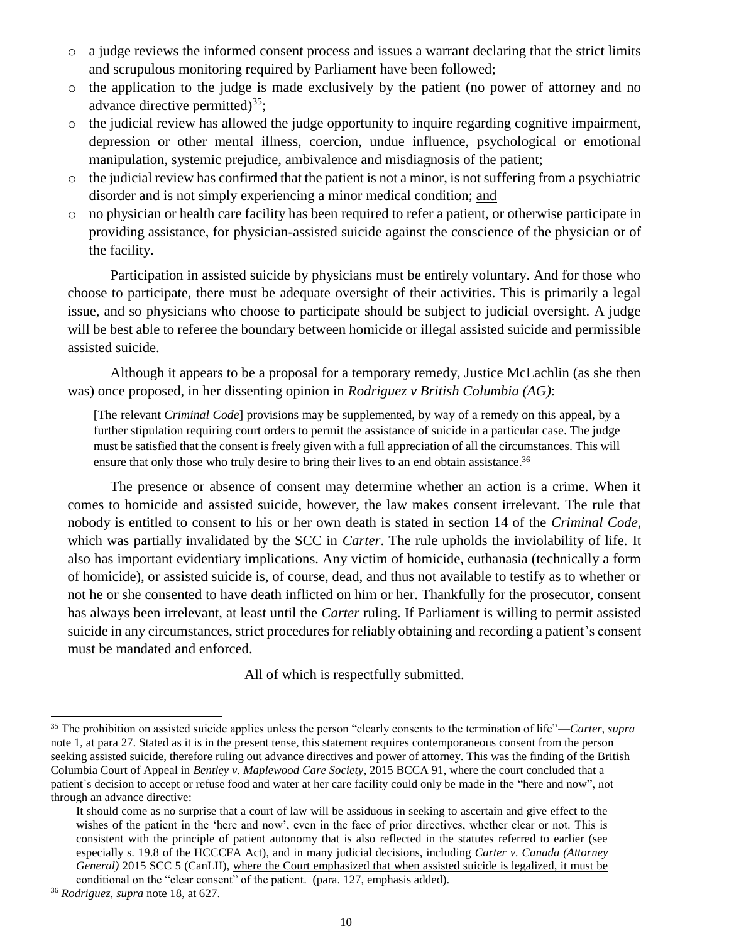- $\circ$  a judge reviews the informed consent process and issues a warrant declaring that the strict limits and scrupulous monitoring required by Parliament have been followed;
- o the application to the judge is made exclusively by the patient (no power of attorney and no advance directive permitted)<sup>35</sup>;
- o the judicial review has allowed the judge opportunity to inquire regarding cognitive impairment, depression or other mental illness, coercion, undue influence, psychological or emotional manipulation, systemic prejudice, ambivalence and misdiagnosis of the patient;
- o the judicial review has confirmed that the patient is not a minor, is not suffering from a psychiatric disorder and is not simply experiencing a minor medical condition; and
- o no physician or health care facility has been required to refer a patient, or otherwise participate in providing assistance, for physician-assisted suicide against the conscience of the physician or of the facility.

Participation in assisted suicide by physicians must be entirely voluntary. And for those who choose to participate, there must be adequate oversight of their activities. This is primarily a legal issue, and so physicians who choose to participate should be subject to judicial oversight. A judge will be best able to referee the boundary between homicide or illegal assisted suicide and permissible assisted suicide.

Although it appears to be a proposal for a temporary remedy, Justice McLachlin (as she then was) once proposed, in her dissenting opinion in *Rodriguez v British Columbia (AG)*:

[The relevant *Criminal Code*] provisions may be supplemented, by way of a remedy on this appeal, by a further stipulation requiring court orders to permit the assistance of suicide in a particular case. The judge must be satisfied that the consent is freely given with a full appreciation of all the circumstances. This will ensure that only those who truly desire to bring their lives to an end obtain assistance.<sup>36</sup>

The presence or absence of consent may determine whether an action is a crime. When it comes to homicide and assisted suicide, however, the law makes consent irrelevant. The rule that nobody is entitled to consent to his or her own death is stated in section 14 of the *Criminal Code*, which was partially invalidated by the SCC in *Carter*. The rule upholds the inviolability of life. It also has important evidentiary implications. Any victim of homicide, euthanasia (technically a form of homicide), or assisted suicide is, of course, dead, and thus not available to testify as to whether or not he or she consented to have death inflicted on him or her. Thankfully for the prosecutor, consent has always been irrelevant, at least until the *Carter* ruling. If Parliament is willing to permit assisted suicide in any circumstances, strict procedures for reliably obtaining and recording a patient's consent must be mandated and enforced.

All of which is respectfully submitted.

<sup>35</sup> The prohibition on assisted suicide applies unless the person "clearly consents to the termination of life"—*Carter*, *supra*  note 1, at para 27. Stated as it is in the present tense, this statement requires contemporaneous consent from the person seeking assisted suicide, therefore ruling out advance directives and power of attorney. This was the finding of the British Columbia Court of Appeal in *Bentley v. Maplewood Care Society,* 2015 BCCA 91, where the court concluded that a patient`s decision to accept or refuse food and water at her care facility could only be made in the "here and now", not through an advance directive:

It should come as no surprise that a court of law will be assiduous in seeking to ascertain and give effect to the wishes of the patient in the 'here and now', even in the face of prior directives, whether clear or not. This is consistent with the principle of patient autonomy that is also reflected in the statutes referred to earlier (see especially s. 19.8 of the HCCCFA Act), and in many judicial decisions, including *Carter v. Canada (Attorney General)* 2015 SCC 5 (CanLII), where the Court emphasized that when assisted suicide is legalized, it must be conditional on the "clear consent" of the patient. (para. 127, emphasis added).

<sup>36</sup> *Rodriguez*, *supra* note 18, at 627.